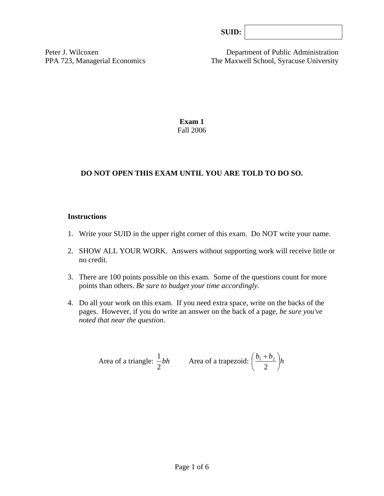| SUB: |  |
|------|--|
|------|--|

Peter J. Wilcoxen Department of Public Administration PPA 723, Managerial Economics The Maxwell School, Syracuse University

> **Exam 1**  Fall 2006

## **DO NOT OPEN THIS EXAM UNTIL YOU ARE TOLD TO DO SO.**

#### **Instructions**

- 1. Write your SUID in the upper right corner of this exam. Do NOT write your name.
- 2. SHOW ALL YOUR WORK. Answers without supporting work will receive little or no credit.
- 3. There are 100 points possible on this exam. Some of the questions count for more points than others. *Be sure to budget your time accordingly.*
- 4. Do all your work on this exam. If you need extra space, write on the backs of the pages. However, if you do write an answer on the back of a page, *be sure you've noted that near the question*.

Area of a triangle: 
$$
\frac{1}{2}bh
$$
 Area of a trapezoid:  $\left(\frac{b_1 + b_2}{2}\right)h$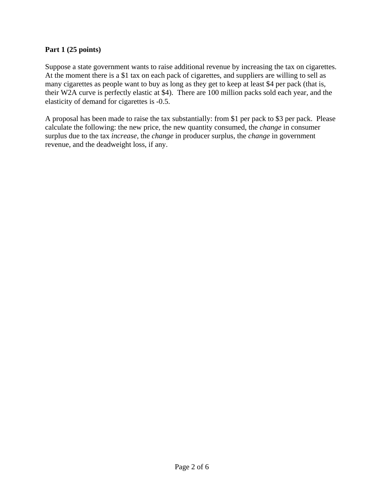## **Part 1 (25 points)**

Suppose a state government wants to raise additional revenue by increasing the tax on cigarettes. At the moment there is a \$1 tax on each pack of cigarettes, and suppliers are willing to sell as many cigarettes as people want to buy as long as they get to keep at least \$4 per pack (that is, their W2A curve is perfectly elastic at \$4). There are 100 million packs sold each year, and the elasticity of demand for cigarettes is -0.5.

A proposal has been made to raise the tax substantially: from \$1 per pack to \$3 per pack. Please calculate the following: the new price, the new quantity consumed, the *change* in consumer surplus due to the tax *increase*, the *change* in producer surplus, the *change* in government revenue, and the deadweight loss, if any.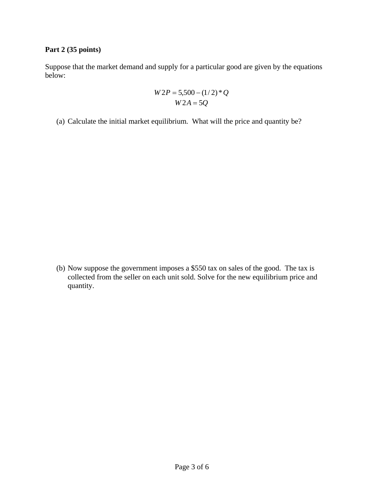## **Part 2 (35 points)**

Suppose that the market demand and supply for a particular good are given by the equations below:

$$
W2P = 5,500 - (1/2)*Q
$$
  
 
$$
W2A = 5Q
$$

(a) Calculate the initial market equilibrium. What will the price and quantity be?

(b) Now suppose the government imposes a \$550 tax on sales of the good. The tax is collected from the seller on each unit sold. Solve for the new equilibrium price and quantity.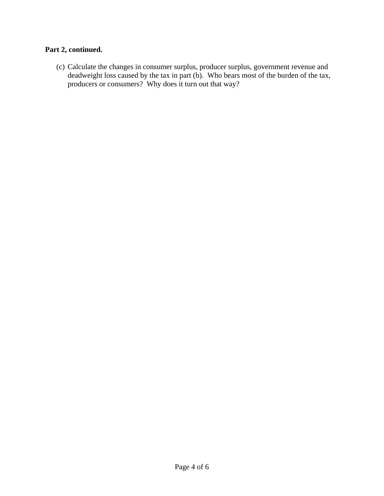# **Part 2, continued.**

(c) Calculate the changes in consumer surplus, producer surplus, government revenue and deadweight loss caused by the tax in part (b). Who bears most of the burden of the tax, producers or consumers? Why does it turn out that way?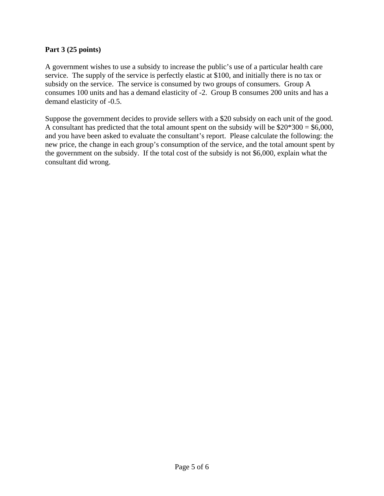## **Part 3 (25 points)**

A government wishes to use a subsidy to increase the public's use of a particular health care service. The supply of the service is perfectly elastic at \$100, and initially there is no tax or subsidy on the service. The service is consumed by two groups of consumers. Group A consumes 100 units and has a demand elasticity of -2. Group B consumes 200 units and has a demand elasticity of -0.5.

Suppose the government decides to provide sellers with a \$20 subsidy on each unit of the good. A consultant has predicted that the total amount spent on the subsidy will be  $$20*300 = $6,000$ , and you have been asked to evaluate the consultant's report. Please calculate the following: the new price, the change in each group's consumption of the service, and the total amount spent by the government on the subsidy. If the total cost of the subsidy is not \$6,000, explain what the consultant did wrong.